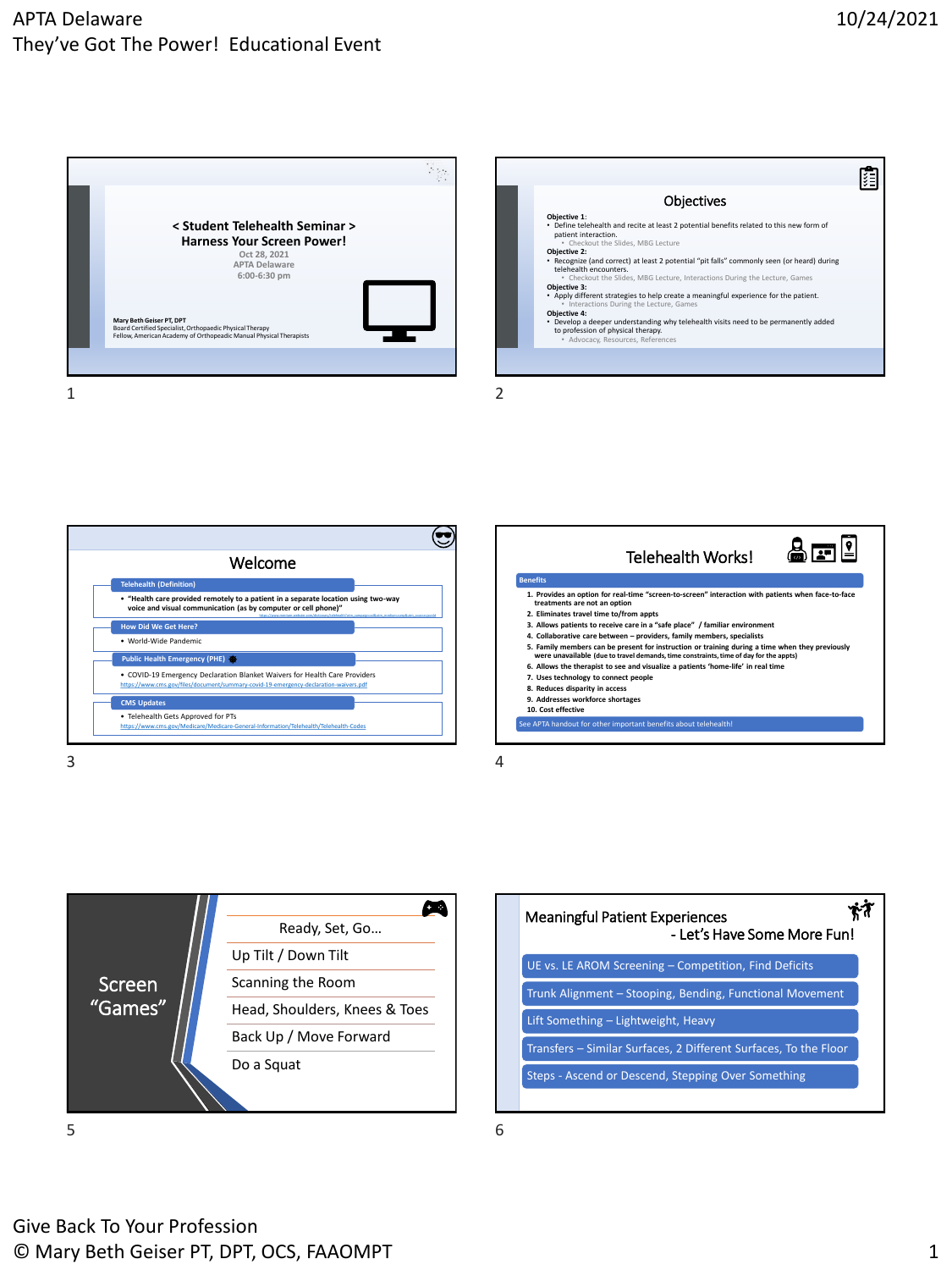## APTA Delaware They've Got The Power! Educational Event